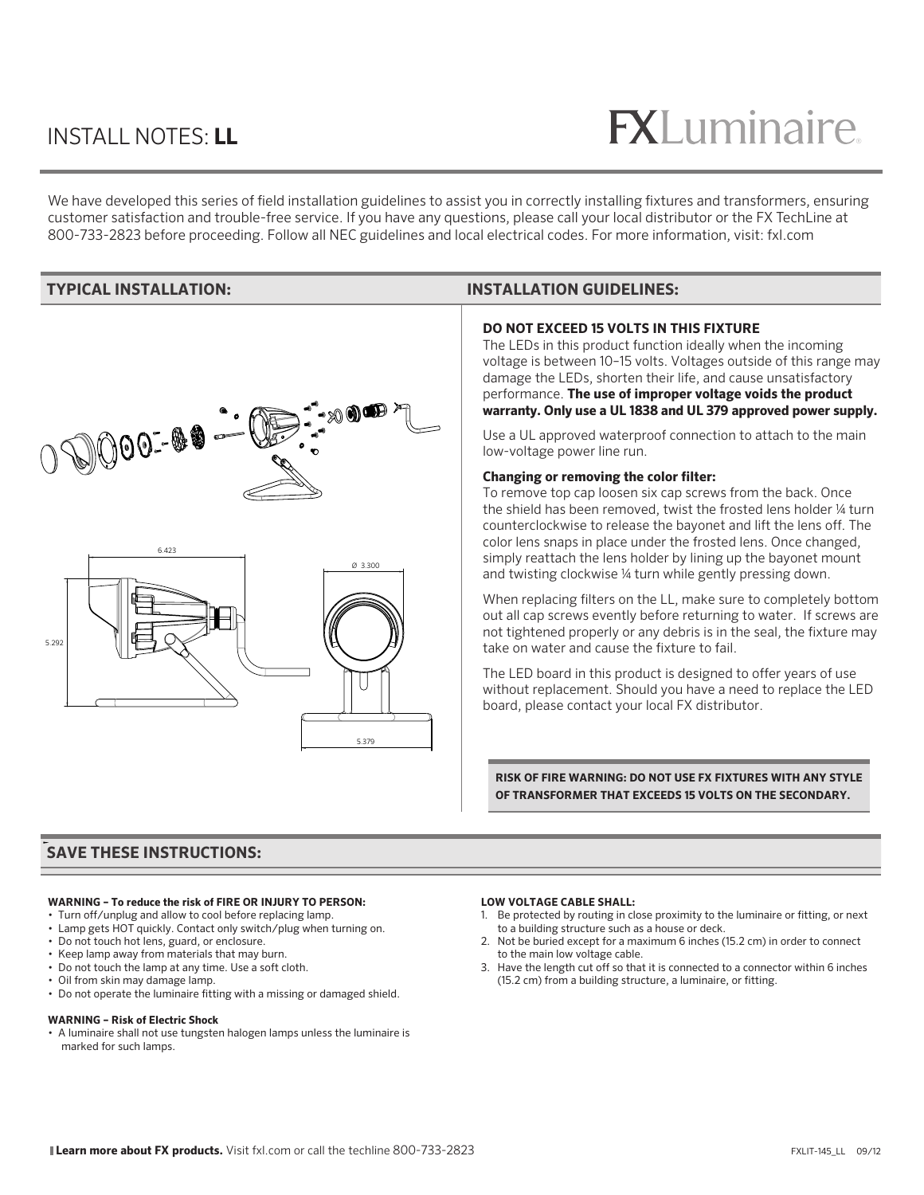## INSTALL NOTES: **LL**

# $R$

We have developed this series of field installation guidelines to assist you in correctly installing fixtures and transformers, ensuring customer satisfaction and trouble-free service. If you have any questions, please call your local distributor or the FX TechLine at 800-733-2823 before proceeding. Follow all NEC guidelines and local electrical codes. For more information, visit: fxl.com



#### **TYPICAL INSTALLATION: INSTALLATION GUIDELINES:**

#### **DO NOT EXCEED 15 VOLTS IN THIS FIXTURE**

The LEDs in this product function ideally when the incoming voltage is between 10–15 volts. Voltages outside of this range may damage the LEDs, shorten their life, and cause unsatisfactory performance. **The use of improper voltage voids the product warranty. Only use a UL 1838 and UL 379 approved power supply.**

Use a UL approved waterproof connection to attach to the main low-voltage power line run.

#### **Changing or removing the color filter:**

To remove top cap loosen six cap screws from the back. Once the shield has been removed, twist the frosted lens holder ¼ turn counterclockwise to release the bayonet and lift the lens off. The color lens snaps in place under the frosted lens. Once changed, simply reattach the lens holder by lining up the bayonet mount and twisting clockwise ¼ turn while gently pressing down.

When replacing filters on the LL, make sure to completely bottom out all cap screws evently before returning to water. If screws are not tightened properly or any debris is in the seal, the fixture may take on water and cause the fixture to fail.

The LED board in this product is designed to offer years of use without replacement. Should you have a need to replace the LED board, please contact your local FX distributor.

**RISK OF FIRE WARNING: DO NOT USE FX FIXTURES WITH ANY STYLE OF TRANSFORMER THAT EXCEEDS 15 VOLTS ON THE SECONDARY.** 

## **SAVE THESE INSTRUCTIONS: SAVE THESE INSTRUCTIONS:**

#### **WARNING – To reduce the risk of FIRE OR INJURY TO PERSON:**

- Turn off/unplug and allow to cool before replacing lamp.
- Lamp gets HOT quickly. Contact only switch/plug when turning on.
- Do not touch hot lens, guard, or enclosure.
- Keep lamp away from materials that may burn.
- Do not touch the lamp at any time. Use a soft cloth.
- Oil from skin may damage lamp.
- Do not operate the luminaire fitting with a missing or damaged shield.

#### **WARNING – Risk of Electric Shock**

• A luminaire shall not use tungsten halogen lamps unless the luminaire is marked for such lamps.

#### **LOW VOLTAGE CABLE SHALL:**

- 1. Be protected by routing in close proximity to the luminaire or fitting, or next to a building structure such as a house or deck.
- 2. Not be buried except for a maximum 6 inches (15.2 cm) in order to connect to the main low voltage cable.
- 3. Have the length cut off so that it is connected to a connector within 6 inches (15.2 cm) from a building structure, a luminaire, or fitting.